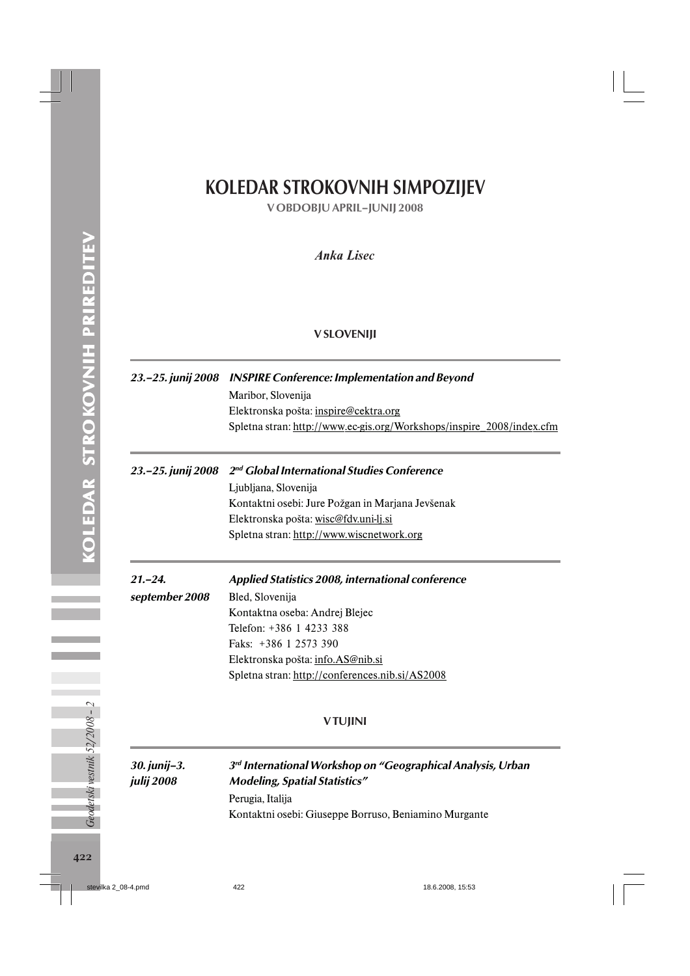# KOLEDAR STROKOVNIH SIMPOZIJEV

V OBDOBJU APRIL–JUNIJ 2008

## *Anka Lisec*

#### V SLOVENIJI

| 23.-25. junij 2008                | <b>INSPIRE Conference: Implementation and Beyond</b><br>Maribor, Slovenija                                     |  |
|-----------------------------------|----------------------------------------------------------------------------------------------------------------|--|
|                                   | Elektronska pošta: inspire@cektra.org<br>Spletna stran: http://www.ec-gis.org/Workshops/inspire_2008/index.cfm |  |
| 23.-25. junij 2008                | 2 <sup>nd</sup> Global International Studies Conference                                                        |  |
|                                   | Ljubljana, Slovenija                                                                                           |  |
|                                   | Kontaktni osebi: Jure Požgan in Marjana Jevšenak                                                               |  |
|                                   | Elektronska pošta: wisc@fdv.uni-lj.si                                                                          |  |
|                                   | Spletna stran: http://www.wiscnetwork.org                                                                      |  |
| $21 - 24$                         | <b>Applied Statistics 2008, international conference</b>                                                       |  |
| september 2008                    | Bled, Slovenija                                                                                                |  |
|                                   | Kontaktna oseba: Andrej Blejec                                                                                 |  |
|                                   | Telefon: +386 1 4233 388                                                                                       |  |
|                                   | Faks: +386 1 2573 390                                                                                          |  |
|                                   | Elektronska pošta: info.AS@nib.si                                                                              |  |
|                                   | Spletna stran: http://conferences.nib.si/AS2008                                                                |  |
|                                   | <b>VTUJINI</b>                                                                                                 |  |
| 30. junij-3.<br><i>julij</i> 2008 | 3rd International Workshop on "Geographical Analysis, Urban<br><b>Modeling, Spatial Statistics"</b>            |  |

Perugia, Italija Kontaktni osebi: Giuseppe Borruso, Beniamino Murgante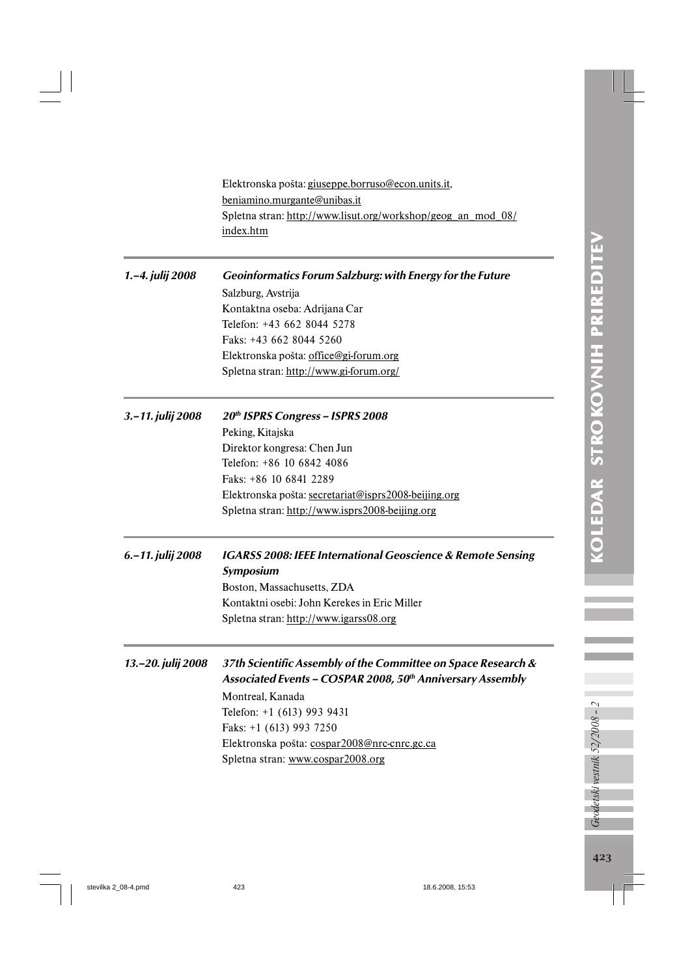Elektronska pošta: giuseppe.borruso@econ.units.it, beniamino.murgante@unibas.it Spletna stran: http://www.lisut.org/workshop/geog\_an\_mod\_08/ index.htm

1.–4. julij 2008 Geoinformatics Forum Salzburg: with Energy for the Future Salzburg, Avstrija Kontaktna oseba: Adrijana Car Telefon: +43 662 8044 5278 Faks: +43 662 8044 5260 Elektronska pošta: office@gi-forum.org Spletna stran: http://www.gi-forum.org/ 3.–11. julij 2008  $20<sup>th</sup>$  ISPRS Congress – ISPRS 2008 Peking, Kitajska Direktor kongresa: Chen Jun Telefon: +86 10 6842 4086

Faks: +86 10 6841 2289 Elektronska pošta: secretariat@isprs2008-beijing.org Spletna stran: http://www.isprs2008-beijing.org

6.–11. julij 2008 IGARSS 2008: IEEE International Geoscience & Remote Sensing Symposium Boston, Massachusetts, ZDA Kontaktni osebi: John Kerekes in Eric Miller Spletna stran: http://www.igarss08.org

13.–20. julij 2008 37th Scientific Assembly of the Committee on Space Research & Associated Events - COSPAR 2008,  $50<sup>th</sup>$  Anniversary Assembly Montreal, Kanada Telefon: +1 (613) 993 9431 Faks: +1 (613) 993 7250 Elektronska pošta: cospar2008@nrc-cnrc.gc.ca Spletna stran: www.cospar2008.org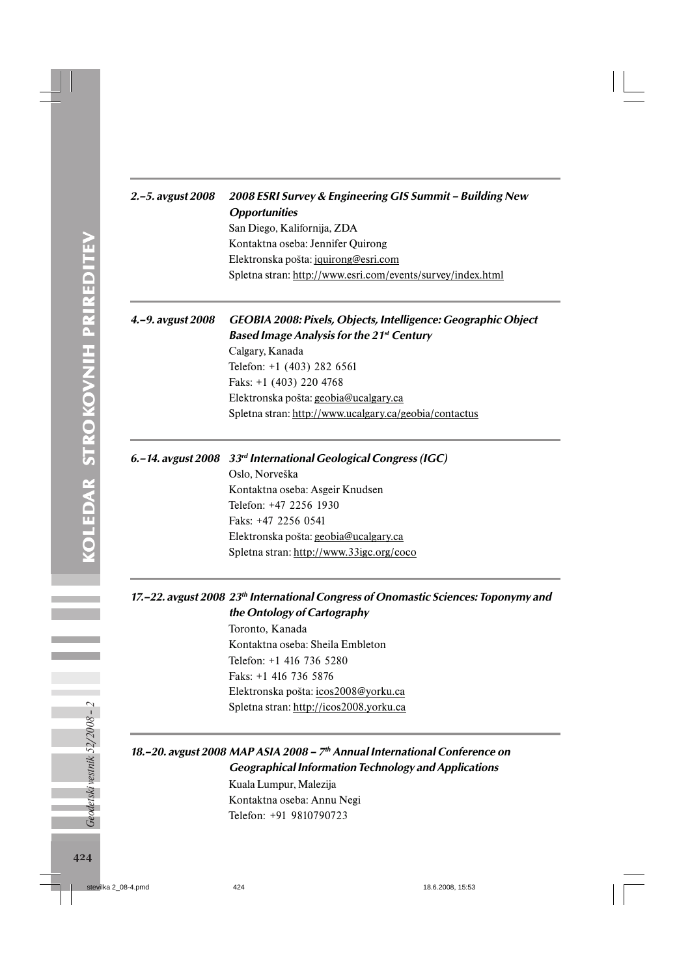|               | $\mu$ , s, av <sub>b</sub> ust 2000 | ムひひひ んこ       |
|---------------|-------------------------------------|---------------|
|               |                                     | Opporti       |
|               |                                     | San Dieg      |
|               |                                     | Kontakt       |
|               |                                     | Elektron      |
|               |                                     | Spletna s     |
|               |                                     |               |
|               |                                     |               |
|               | 4.-9. avgust 2008                   | <b>GEOBIA</b> |
|               |                                     | Based Iı      |
|               |                                     | Calgary,      |
|               |                                     | Telefon:      |
|               |                                     | Faks: $+1$    |
| <b>TRNADA</b> |                                     | Elektron      |
|               |                                     | Spletna s     |
|               |                                     |               |
|               |                                     |               |
|               | 6.-14. avgust 2008 33rd Inte        |               |
|               |                                     |               |

# 2.–5. avgust 2008 2008 ESRI Survey & Engineering GIS Summit – Building New unities go, Kalifornija, ZDA

na oseba: Jennifer Quirong Elektronska pošta: jquirong@esri.com stran: http://www.esri.com/events/survey/index.html

#### 4.2008: Pixels, Objects, Intelligence: Geographic Object mage Analysis for the 21<sup>st</sup> Century

Kanada  $+1$  (403) 282 6561 (403) 220 4768 ska pošta: geobia@ucalgary.ca stran: http://www.ucalgary.ca/geobia/contactus

#### ernational Geological Congress (IGC)

Oslo, Norveška Kontaktna oseba: Asgeir Knudsen Telefon: +47 2256 1930 Faks: +47 2256 0541 Elektronska pošta: geobia@ucalgary.ca Spletna stran: http://www.33igc.org/coco

#### 17.–22. avgust 2008 23<sup>th</sup> International Congress of Onomastic Sciences: Toponymy and the Ontology of Cartography

Toronto, Kanada Kontaktna oseba: Sheila Embleton Telefon: +1 416 736 5280 Faks: +1 416 736 5876 Elektronska pošta: icos2008@yorku.ca Spletna stran: http://icos2008.yorku.ca

## 18.–20. avgust 2008 MAP ASIA 2008 – 7<sup>th</sup> Annual International Conference on Geographical Information Technology and Applications

Kuala Lumpur, Malezija Kontaktna oseba: Annu Negi Telefon: +91 9810790723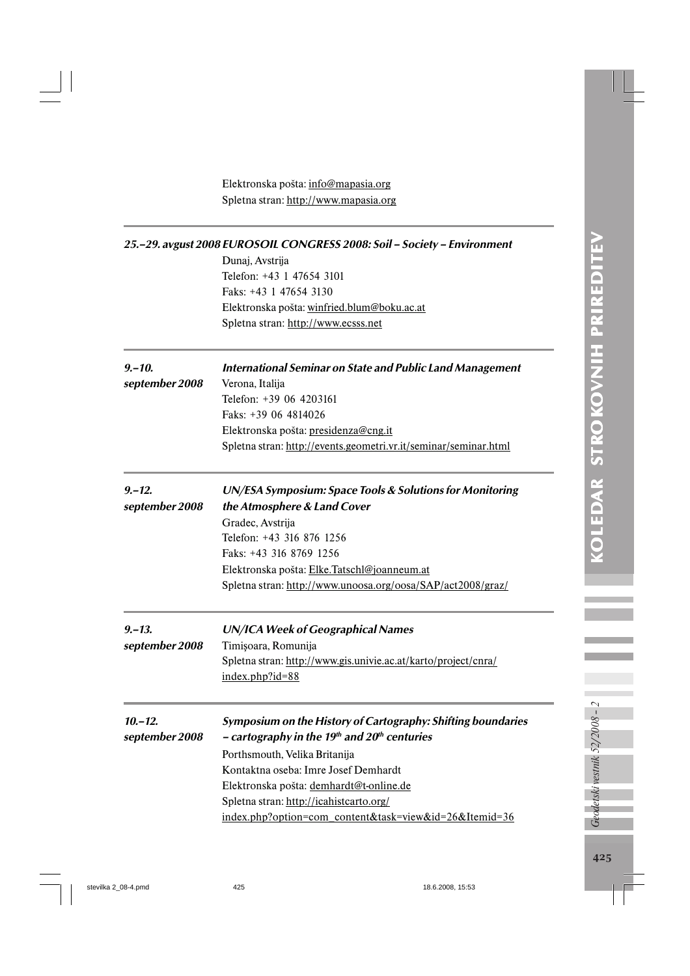Elektronska pošta: info@mapasia.org Spletna stran: http://www.mapasia.org

| 25.–29. avgust 2008 EUROSOIL CONGRESS 2008: Soil – Society – Environment |                                                                  |  |
|--------------------------------------------------------------------------|------------------------------------------------------------------|--|
|                                                                          | Dunaj, Avstrija                                                  |  |
|                                                                          | Telefon: +43 1 47654 3101                                        |  |
|                                                                          | Faks: +43 1 47654 3130                                           |  |
|                                                                          | Elektronska pošta: winfried.blum@boku.ac.at                      |  |
|                                                                          | Spletna stran: http://www.ecsss.net                              |  |
| $9 - 10.$                                                                | <b>International Seminar on State and Public Land Management</b> |  |
| september 2008                                                           | Verona, Italija                                                  |  |
|                                                                          | Telefon: +39 06 4203161                                          |  |
|                                                                          | Faks: +39 06 4814026                                             |  |
|                                                                          | Elektronska pošta: presidenza@cng.it                             |  |
|                                                                          | Spletna stran: http://events.geometri.vr.it/seminar/seminar.html |  |
| 9.–12.                                                                   | UN/ESA Symposium: Space Tools & Solutions for Monitoring         |  |
| september 2008                                                           | the Atmosphere & Land Cover                                      |  |
|                                                                          | Gradec, Avstrija                                                 |  |
|                                                                          | Telefon: +43 316 876 1256                                        |  |
|                                                                          | Faks: +43 316 8769 1256                                          |  |
|                                                                          | Elektronska pošta: Elke.Tatschl@joanneum.at                      |  |
|                                                                          | Spletna stran: http://www.unoosa.org/oosa/SAP/act2008/graz/      |  |
| $9 - 13.$                                                                | <b>UN/ICA Week of Geographical Names</b>                         |  |
| september 2008                                                           | Timişoara, Romunija                                              |  |
|                                                                          | Spletna stran: http://www.gis.univie.ac.at/karto/project/cnra/   |  |
|                                                                          | $index.php?id=88$                                                |  |
| $10 - 12.$                                                               | Symposium on the History of Cartography: Shifting boundaries     |  |
| september 2008                                                           | - cartography in the 19th and $20th$ centuries                   |  |
|                                                                          | Porthsmouth, Velika Britanija                                    |  |
|                                                                          | Kontaktna oseba: Imre Josef Demhardt                             |  |
|                                                                          | Elektronska pošta: demhardt@t-online.de                          |  |
|                                                                          | Spletna stran: http://icahistcarto.org/                          |  |
|                                                                          | index.php?option=com_content&task=view&id=26&Itemid=36           |  |
|                                                                          |                                                                  |  |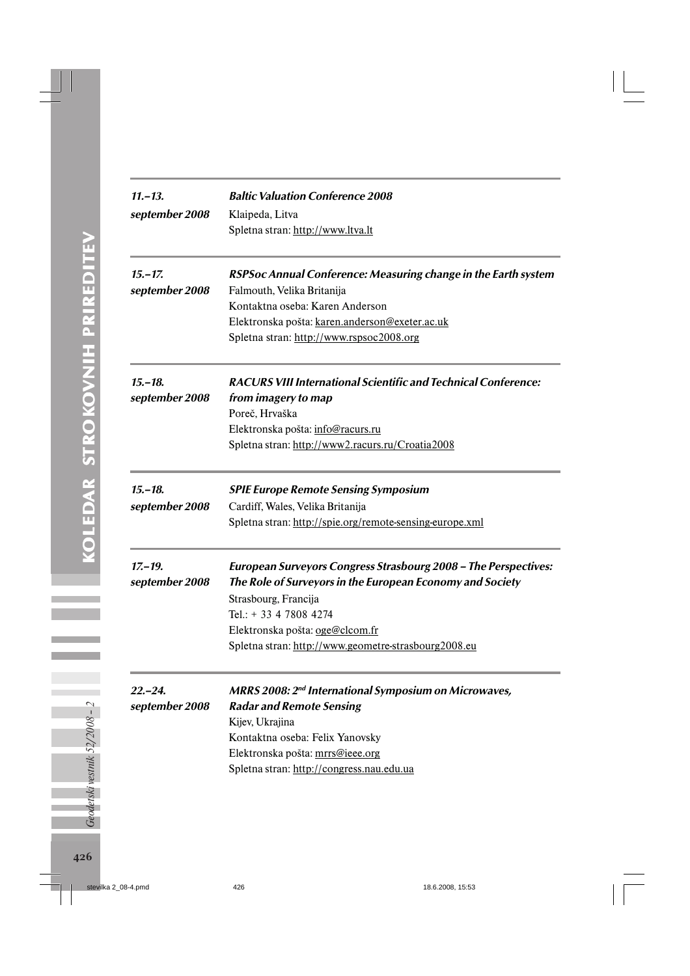| $11 - 13.$                   | <b>Baltic Valuation Conference 2008</b>                                                                                      |  |
|------------------------------|------------------------------------------------------------------------------------------------------------------------------|--|
| september 2008               | Klaipeda, Litva                                                                                                              |  |
|                              | Spletna stran: http://www.ltva.lt                                                                                            |  |
| $15 - 17$ .                  | RSPSoc Annual Conference: Measuring change in the Earth system                                                               |  |
| september 2008               | Falmouth, Velika Britanija                                                                                                   |  |
|                              | Kontaktna oseba: Karen Anderson                                                                                              |  |
|                              | Elektronska pošta: karen.anderson@exeter.ac.uk                                                                               |  |
|                              | Spletna stran: http://www.rspsoc2008.org                                                                                     |  |
| $15 - 18.$                   | <b>RACURS VIII International Scientific and Technical Conference:</b>                                                        |  |
| september 2008               | from imagery to map                                                                                                          |  |
|                              | Poreč, Hrvaška                                                                                                               |  |
|                              | Elektronska pošta: info@racurs.ru                                                                                            |  |
|                              | Spletna stran: http://www2.racurs.ru/Croatia2008                                                                             |  |
| $15 - 18.$                   | <b>SPIE Europe Remote Sensing Symposium</b>                                                                                  |  |
| september 2008               | Cardiff, Wales, Velika Britanija                                                                                             |  |
|                              | Spletna stran: http://spie.org/remote-sensing-europe.xml                                                                     |  |
| $17 - 19.$<br>september 2008 | European Surveyors Congress Strasbourg 2008 - The Perspectives:<br>The Role of Surveyors in the European Economy and Society |  |
|                              | Strasbourg, Francija                                                                                                         |  |
|                              | Tel.: + 33 4 7808 4274                                                                                                       |  |
|                              | Elektronska pošta: oge@clcom.fr                                                                                              |  |
|                              | Spletna stran: http://www.geometre-strasbourg2008.eu                                                                         |  |
| $22 - 24.$                   | <b>MRRS 2008: 2<sup>nd</sup> International Symposium on Microwaves,</b>                                                      |  |
| september 2008               | <b>Radar and Remote Sensing</b>                                                                                              |  |
|                              | Kijev, Ukrajina                                                                                                              |  |
|                              | Kontaktna oseba: Felix Yanovsky                                                                                              |  |
|                              | Elektronska pošta: mrrs@ieee.org                                                                                             |  |
|                              | Spletna stran: http://congress.nau.edu.ua                                                                                    |  |
|                              |                                                                                                                              |  |
|                              |                                                                                                                              |  |